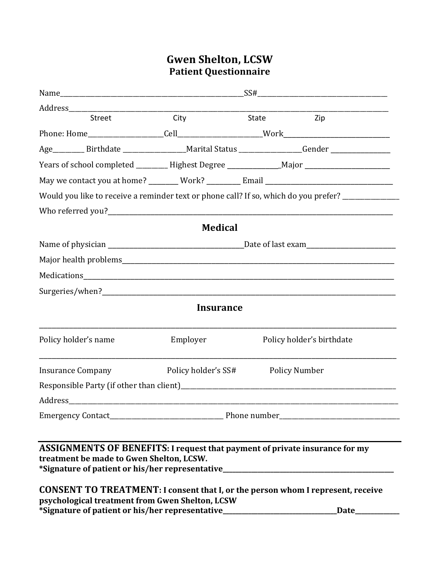## Gwen Shelton, LCSW **Patient Questionnaire**

| Address__________<br><u> 1980 - Jan James James Barnett, martin de la partide de la partide de la partide de la partide de la partide </u>                                                                                    |                     |  |                           |
|-------------------------------------------------------------------------------------------------------------------------------------------------------------------------------------------------------------------------------|---------------------|--|---------------------------|
| Street                                                                                                                                                                                                                        | City State Zip      |  |                           |
|                                                                                                                                                                                                                               |                     |  |                           |
| Age__________ Birthdate ____________________Marital Status _________________Gender ________________                                                                                                                           |                     |  |                           |
| Years of school completed ________ Highest Degree _______________Major ____________________________                                                                                                                           |                     |  |                           |
| May we contact you at home? _______ Work? ________ Email ________________________                                                                                                                                             |                     |  |                           |
| Would you like to receive a reminder text or phone call? If so, which do you prefer? _____________                                                                                                                            |                     |  |                           |
|                                                                                                                                                                                                                               |                     |  |                           |
|                                                                                                                                                                                                                               | <b>Medical</b>      |  |                           |
|                                                                                                                                                                                                                               |                     |  |                           |
|                                                                                                                                                                                                                               |                     |  |                           |
|                                                                                                                                                                                                                               |                     |  |                           |
|                                                                                                                                                                                                                               |                     |  |                           |
|                                                                                                                                                                                                                               | Insurance           |  |                           |
| Policy holder's name                                                                                                                                                                                                          | Employer            |  | Policy holder's birthdate |
| <b>Insurance Company</b>                                                                                                                                                                                                      | Policy holder's SS# |  | <b>Policy Number</b>      |
|                                                                                                                                                                                                                               |                     |  |                           |
| Address                                                                                                                                                                                                                       |                     |  |                           |
|                                                                                                                                                                                                                               |                     |  |                           |
|                                                                                                                                                                                                                               |                     |  |                           |
| <b>ASSIGNMENTS OF BENEFITS: I request that payment of private insurance for my</b><br>treatment be made to Gwen Shelton, LCSW.<br>*Signature of patient or his/her representative_________________________________            |                     |  |                           |
| <b>CONSENT TO TREATMENT: I consent that I, or the person whom I represent, receive</b><br>psychological treatment from Gwen Shelton, LCSW<br>*Signature of patient or his/her representative_________________________________ |                     |  | Date_                     |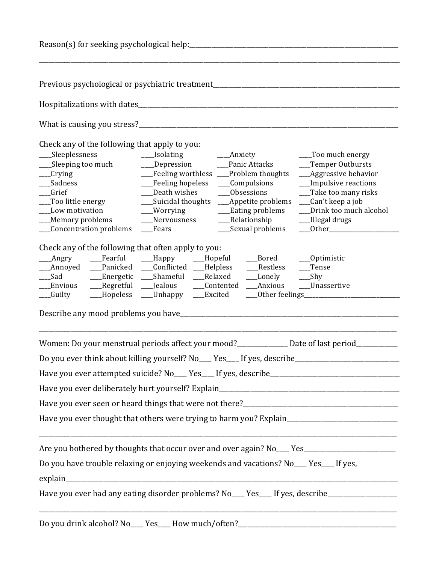| Reason(s) for seeking psychological help:                                                                                                                                                                                |                                                                                                                                                                                                                                                                                                                                                             |                                                                                                                                                                  |
|--------------------------------------------------------------------------------------------------------------------------------------------------------------------------------------------------------------------------|-------------------------------------------------------------------------------------------------------------------------------------------------------------------------------------------------------------------------------------------------------------------------------------------------------------------------------------------------------------|------------------------------------------------------------------------------------------------------------------------------------------------------------------|
|                                                                                                                                                                                                                          | Previous psychological or psychiatric treatment                                                                                                                                                                                                                                                                                                             |                                                                                                                                                                  |
|                                                                                                                                                                                                                          |                                                                                                                                                                                                                                                                                                                                                             |                                                                                                                                                                  |
|                                                                                                                                                                                                                          |                                                                                                                                                                                                                                                                                                                                                             |                                                                                                                                                                  |
| Check any of the following that apply to you:<br>Sleeplessness<br>___Sleeping too much<br>$_{\rm -}$ Crying<br>Sadness<br>Grief<br>___Too little energy<br>Low motivation<br>__Memory problems<br>Concentration problems | ___Isolating<br>____Anxiety<br>____Depression ______Panic Attacks<br>__Feeling worthless __Problem thoughts<br>__Feeling hopeless<br>___Compulsions<br>Death wishes<br>___Obsessions<br>___Suicidal thoughts ____Appetite problems ___Can't keep a job<br>__Eating problems<br>__Worrying<br>Nervousness<br>___Relationship<br>__Sexual problems<br>__Fears | ___Too much energy<br>__Temper Outbursts<br>__Aggressive behavior<br>__Impulsive reactions<br>__Take too many risks<br>Drink too much alcohol<br>__Illegal drugs |
| Check any of the following that often apply to you:<br>Sad Sand<br>Envious<br>__Regretful __Jealous<br>__Hopeless<br>__Guilty                                                                                            | Angry ____Fearful ____Happy ____Hopeful<br>Bored ____Optimistic<br>_Annoyed __Panicked __Conflicted __Helpless<br>Restless<br>__Lonely ___Shy<br>__Energetic ___Shameful ___Relaxed<br>___Contented ___Anxious ___Unassertive<br>__Unhappy<br>___Excited                                                                                                    | __Tense                                                                                                                                                          |
|                                                                                                                                                                                                                          | Women: Do your menstrual periods affect your mood?<br><u>Letter and Date</u> of last period                                                                                                                                                                                                                                                                 |                                                                                                                                                                  |
|                                                                                                                                                                                                                          | Do you ever think about killing yourself? No___ Yes___ If yes, describe____________________________                                                                                                                                                                                                                                                         |                                                                                                                                                                  |
|                                                                                                                                                                                                                          |                                                                                                                                                                                                                                                                                                                                                             |                                                                                                                                                                  |
|                                                                                                                                                                                                                          |                                                                                                                                                                                                                                                                                                                                                             |                                                                                                                                                                  |
|                                                                                                                                                                                                                          |                                                                                                                                                                                                                                                                                                                                                             |                                                                                                                                                                  |
|                                                                                                                                                                                                                          | Have you ever thought that others were trying to harm you? Explain__________________________________                                                                                                                                                                                                                                                        |                                                                                                                                                                  |
|                                                                                                                                                                                                                          |                                                                                                                                                                                                                                                                                                                                                             |                                                                                                                                                                  |
|                                                                                                                                                                                                                          | Are you bothered by thoughts that occur over and over again? No___ Yes______________________________                                                                                                                                                                                                                                                        |                                                                                                                                                                  |
|                                                                                                                                                                                                                          | Do you have trouble relaxing or enjoying weekends and vacations? No___ Yes___ If yes,                                                                                                                                                                                                                                                                       |                                                                                                                                                                  |
|                                                                                                                                                                                                                          |                                                                                                                                                                                                                                                                                                                                                             |                                                                                                                                                                  |
|                                                                                                                                                                                                                          | Have you ever had any eating disorder problems? No___ Yes___ If yes, describe_____________________                                                                                                                                                                                                                                                          |                                                                                                                                                                  |
|                                                                                                                                                                                                                          | Do you drink alcohol? No___ Yes___ How much/often?_______________________________                                                                                                                                                                                                                                                                           |                                                                                                                                                                  |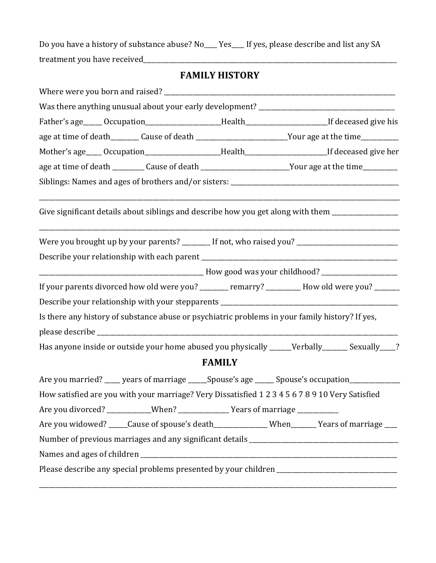Do you have a history of substance abuse? No\_\_\_ Yes\_\_\_ If yes, please describe and list any SA treatment you have received\_\_\_\_\_\_\_\_\_\_\_\_\_\_\_\_\_\_\_\_\_\_\_\_\_\_\_\_\_\_\_\_\_\_\_\_\_\_\_\_\_\_\_\_\_\_\_\_\_\_\_\_\_\_\_\_\_\_\_\_\_\_\_\_\_\_\_\_\_\_\_\_\_\_\_\_\_\_\_\_

## **FAMILY HISTORY**

| Father's age_____ Occupation_____________________Health_________________________If deceased give his      |               |  |
|-----------------------------------------------------------------------------------------------------------|---------------|--|
| age at time of death_________ Cause of death __________________________Your age at the time______________ |               |  |
| Mother's age____Occupation____________________Health_________________________If deceased give her         |               |  |
| age at time of death __________ Cause of death ___________________________Your age at the time___________ |               |  |
|                                                                                                           |               |  |
| Give significant details about siblings and describe how you get along with them _________________        |               |  |
| Were you brought up by your parents? _______ If not, who raised you? ______________________________       |               |  |
|                                                                                                           |               |  |
|                                                                                                           |               |  |
| If your parents divorced how old were you? _______ remarry? ________ How old were you? ______             |               |  |
| Describe your relationship with your stepparents _______________________________                          |               |  |
| Is there any history of substance abuse or psychiatric problems in your family history? If yes,           |               |  |
|                                                                                                           |               |  |
| Has anyone inside or outside your home abused you physically _____Verbally ______ Sexually ___?           |               |  |
|                                                                                                           | <b>FAMILY</b> |  |
| Are you married? ____ years of marriage _____ Spouse's age _____ Spouse's occupation__________            |               |  |
| How satisfied are you with your marriage? Very Dissatisfied 1 2 3 4 5 6 7 8 9 10 Very Satisfied           |               |  |
| Are you divorced? ___________When? _______________Years of marriage ____________                          |               |  |
| Are you widowed? _____Cause of spouse's death______________When_______Years of marriage ____              |               |  |
|                                                                                                           |               |  |
|                                                                                                           |               |  |
| Please describe any special problems presented by your children ___________________________________       |               |  |